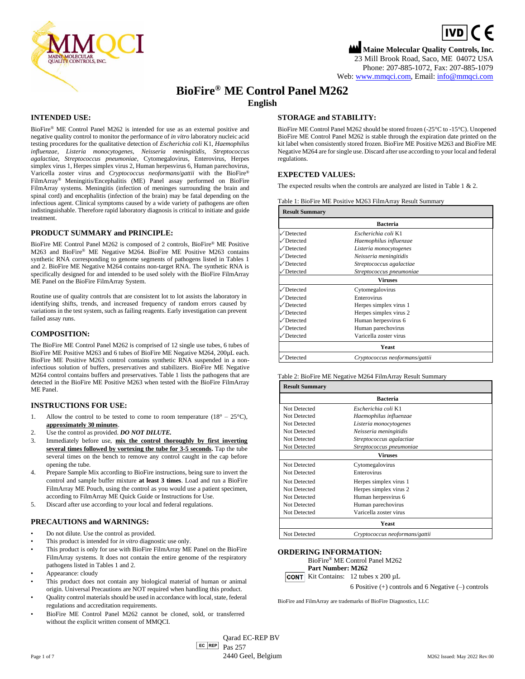

# **Maine Molecular Quality Controls, Inc.**  $\boxed{IVD}$  (  $\in$ 23 Mill Brook Road, Saco, ME 04072 USA Phone: 207-885-1072, Fax: 207-885-1079 Web[: www.mmqci.com,](file://///FS1/Common/Company/CE%20Marking/M262/Translation/Translation%20Received%2005.12.2022/www.mmqci.com) Email: [info@mmqci.com](mailto:info@mmqci.com)

**BioFire® ME Control Panel M262 English**

## **INTENDED USE:**

BioFire® ME Control Panel M262 is intended for use as an external positive and negative quality control to monitor the performance of *in vitro* laboratory nucleic acid testing procedures for the qualitative detection of *Escherichia coli* K1, *Haemophilus influenzae, Listeria monocytogenes, Neisseria meningitidis, Streptococcus agalactiae, Streptococcus pneumoniae,* Cytomegalovirus, Enterovirus, Herpes simplex virus 1, Herpes simplex virus 2, Human herpesvirus 6, Human parechovirus, Varicella zoster virus and *Cryptococcus neoformans/gattii* with the BioFire® FilmArray® Meningitis/Encephalitis (ME) Panel assay performed on BioFire FilmArray systems. Meningitis (infection of meninges surrounding the brain and spinal cord) and encephalitis (infection of the brain) may be fatal depending on the infectious agent. Clinical symptoms caused by a wide variety of pathogens are often indistinguishable. Therefore rapid laboratory diagnosis is critical to initiate and guide treatment.

### **PRODUCT SUMMARY and PRINCIPLE:**

BioFire ME Control Panel M262 is composed of 2 controls, BioFire® ME Positive M263 and BioFire® ME Negative M264. BioFire ME Positive M263 contains synthetic RNA corresponding to genome segments of pathogens listed in Tables 1 and 2. BioFire ME Negative M264 contains non-target RNA. The synthetic RNA is specifically designed for and intended to be used solely with the BioFire FilmArray ME Panel on the BioFire FilmArray System.

Routine use of quality controls that are consistent lot to lot assists the laboratory in identifying shifts, trends, and increased frequency of random errors caused by variations in the test system, such as failing reagents. Early investigation can prevent failed assay runs.

#### **COMPOSITION:**

The BioFire ME Control Panel M262 is comprised of 12 single use tubes, 6 tubes of BioFire ME Positive M263 and 6 tubes of BioFire ME Negative M264, 200µL each. BioFire ME Positive M263 control contains synthetic RNA suspended in a noninfectious solution of buffers, preservatives and stabilizers. BioFire ME Negative M264 control contains buffers and preservatives. Table 1 lists the pathogens that are detected in the BioFire ME Positive M263 when tested with the BioFire FilmArray ME Panel.

#### **INSTRUCTIONS FOR USE:**

- 1. Allow the control to be tested to come to room temperature  $(18^{\circ} 25^{\circ}C)$ , **approximately 30 minutes**.
- 2. Use the control as provided. *DO NOT DILUTE.*
- 3. Immediately before use, **mix the control thoroughly by first inverting several times followed by vortexing the tube for 3-5 seconds.** Tap the tube several times on the bench to remove any control caught in the cap before opening the tube.
- 4. Prepare Sample Mix according to BioFire instructions, being sure to invert the control and sample buffer mixture **at least 3 times**. Load and run a BioFire FilmArray ME Pouch, using the control as you would use a patient specimen, according to FilmArray ME Quick Guide or Instructions for Use.
- 5. Discard after use according to your local and federal regulations.

#### **PRECAUTIONS and WARNINGS:**

- Do not dilute. Use the control as provided.
- This product is intended for *in vitro* diagnostic use only.
- This product is only for use with BioFire FilmArray ME Panel on the BioFire FilmArray systems. It does not contain the entire genome of the respiratory pathogens listed in Tables 1 and 2.
- Appearance: cloudy
- This product does not contain any biological material of human or animal origin. Universal Precautions are NOT required when handling this product.
- Quality control materials should be used in accordance with local, state, federal regulations and accreditation requirements.
- BioFire ME Control Panel M262 cannot be cloned, sold, or transferred without the explicit written consent of MMQCI.

## **STORAGE and STABILITY:**

BioFire ME Control Panel M262 should be stored frozen (-25°C to -15°C). Unopened BioFire ME Control Panel M262 is stable through the expiration date printed on the kit label when consistently stored frozen. BioFire ME Positive M263 and BioFire ME Negative M264 are for single use. Discard after use according to your local and federal regulations.

# **EXPECTED VALUES:**

The expected results when the controls are analyzed are listed in Table 1 & 2.

Table 1: BioFire ME Positive M263 FilmArray Result Summary

| <b>Result Summary</b>    |                                |  |
|--------------------------|--------------------------------|--|
|                          | <b>Bacteria</b>                |  |
| $\sqrt{\text{Detected}}$ | Escherichia coli K1            |  |
| $\sqrt{\rm{Detected}}$   | Haemophilus influenzae         |  |
| $\sqrt{\rm{Detected}}$   | Listeria monocytogenes         |  |
| Detected                 | Neisseria meningitidis         |  |
| Detected                 | Streptococcus agalactiae       |  |
| Detected                 | Streptococcus pneumoniae       |  |
|                          | <b>Viruses</b>                 |  |
| $\sqrt{\text{Detected}}$ | Cytomegalovirus                |  |
| <b>Detected</b>          | Enterovirus                    |  |
| Detected                 | Herpes simplex virus 1         |  |
| $\sqrt{\rm{Detected}}$   | Herpes simplex virus 2         |  |
| $\sqrt{\rm{Detected}}$   | Human herpesvirus 6            |  |
| $\sqrt{\rm{Detected}}$   | Human parechovirus             |  |
| $\sqrt{\text{Detected}}$ | Varicella zoster virus         |  |
|                          | Yeast                          |  |
| Detected                 | Cryptococcus neoformans/gattii |  |

### Table 2: BioFire ME Negative M264 FilmArray Result Summary

| <b>Result Summary</b> |                                |  |
|-----------------------|--------------------------------|--|
|                       | <b>Bacteria</b>                |  |
| Not Detected          | Escherichia coli K1            |  |
| Not Detected          | Haemophilus influenzae         |  |
| Not Detected          | Listeria monocytogenes         |  |
| Not Detected          | Neisseria meningitidis         |  |
| Not Detected          | Streptococcus agalactiae       |  |
| Not Detected          | Streptococcus pneumoniae       |  |
|                       | <b>Viruses</b>                 |  |
| Not Detected          | Cytomegalovirus                |  |
| Not Detected          | Enterovirus                    |  |
| Not Detected          | Herpes simplex virus 1         |  |
| Not Detected          | Herpes simplex virus 2         |  |
| Not Detected          | Human herpesvirus 6            |  |
| Not Detected          | Human parechovirus             |  |
| Not Detected          | Varicella zoster virus         |  |
|                       | Yeast                          |  |
| Not Detected          | Cryptococcus neoformans/gattii |  |

#### **ORDERING INFORMATION:**

BioFire® ME Control Panel M262

**Part Number: M262**

**CONT** Kit Contains:  $12$  tubes x  $200 \mu L$ 

6 Positive (+) controls and 6 Negative (–) controls

BioFire and FilmArray are trademarks of BioFire Diagnostics, LLC

 $E$ C REP Pas 257 Qarad EC-REP BV Page 1 of 7 M262 Issued: May 2022 Rev.00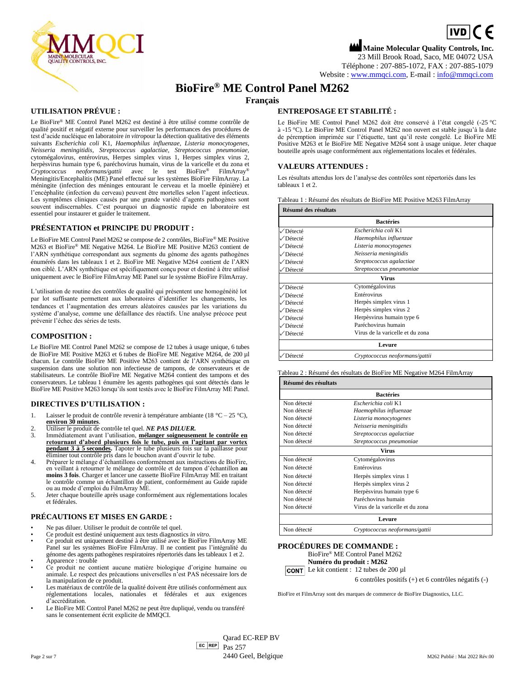

# $\boxed{\mathsf{ivD}}$  (  $\in$ **Maine Molecular Quality Controls, Inc.** 23 Mill Brook Road, Saco, ME 04072 USA Téléphone : 207-885-1072, FAX : 207-885-1079

Website [: www.mmqci.com,](file://///FS1/Common/Company/CE%20Marking/M262/Translation/Translation%20Received%2005.12.2022/www.mmqci.com) E-mail [: info@mmqci.com](mailto:info@mmqci.com)

# **BioFire® ME Control Panel M262**

**Français**

# **UTILISATION PRÉVUE :**

Le BioFire® ME Control Panel M262 est destiné à être utilisé comme contrôle de qualité positif et négatif externe pour surveiller les performances des procédures de test d'acide nucléique en laboratoire *in vitro*pour la détection qualitative des éléments suivants *Escherichia coli* K1, *Haemophilus influenzae, Listeria monocytogenes, Neisseria meningitidis, Streptococcus agalactiae, Streptococcus pneumoniae,* cytomégalovirus, entérovirus, Herpes simplex virus 1, Herpes simplex virus 2, herpèsvirus humain type 6, paréchovirus humain, virus de la varicelle et du zona et Cryptococcus neoformans/gattii avec le test BioFire® FilmArray® *Cryptococcus neoformans/gattii* avec le test BioFire® FilmArray® Meningitis/Encephalitis (ME) Panel effectué sur les systèmes BioFire FilmArray. La méningite (infection des méninges entourant le cerveau et la moelle épinière) et l'encéphalite (infection du cerveau) peuvent être mortelles selon l'agent infectieux. Les symptômes cliniques causés par une grande variété d'agents pathogènes sont souvent indiscernables. C'est pourquoi un diagnostic rapide en laboratoire est essentiel pour instaurer et guider le traitement.

### **PRÉSENTATION et PRINCIPE DU PRODUIT :**

Le BioFire ME Control Panel M262 se compose de 2 contrôles, BioFire® ME Positive M263 et BioFire® ME Negative M264. Le BioFire ME Positive M263 contient de l'ARN synthétique correspondant aux segments du génome des agents pathogènes énumérés dans les tableaux 1 et 2. BioFire ME Negative M264 contient de l'ARN non ciblé. L'ARN synthétique est spécifiquement conçu pour et destiné à être utilisé uniquement avec le BioFire FilmArray ME Panel sur le système BioFire FilmArray.

L'utilisation de routine des contrôles de qualité qui présentent une homogénéité lot par lot suffisante permettent aux laboratoires d'identifier les changements, les tendances et l'augmentation des erreurs aléatoires causées par les variations du système d'analyse, comme une défaillance des réactifs. Une analyse précoce peut prévenir l'échec des séries de tests.

#### **COMPOSITION :**

Le BioFire ME Control Panel M262 se compose de 12 tubes à usage unique, 6 tubes de BioFire ME Positive M263 et 6 tubes de BioFire ME Negative M264, de 200 µl chacun. Le contrôle BioFire ME Positive M263 contient de l'ARN synthétique en suspension dans une solution non infectieuse de tampons, de conservateurs et de stabilisateurs. Le contrôle BioFire ME Negative M264 contient des tampons et des conservateurs. Le tableau 1 énumère les agents pathogènes qui sont détectés dans le BioFire ME Positive M263 lorsqu'ils sont testés avec le BioFire FilmArray ME Panel.

#### **DIRECTIVES D'UTILISATION :**

- 1. Laisser le produit de contrôle revenir à température ambiante (18 °C 25 °C),
- **environ 30 minutes**. 2. Utiliser le produit de contrôle tel quel. *NE PAS DILUER.*
- 3. Immédiatement avant l'utilisation, **mélanger soigneusement le contrôle en retournant d'abord plusieurs fois le tube, puis en l'agitant par vortex pendant 3 à 5 secondes.** Tapoter le tube plusieurs fois sur la paillasse pour éliminer tout contrôle pris dans le bouchon avant d'ouvrir le tube.
- 4. Préparer le mélange d'échantillons conformément aux instructions de BioFire, en veillant à retourner le mélange de contrôle et de tampon d'échantillon **au moins 3 fois**. Charger et lancer une cassette BioFire FilmArray ME en traitant le contrôle comme un échantillon de patient, conformément au Guide rapide ou au mode d'emploi du FilmArray ME.
- 5. Jeter chaque bouteille après usage conformément aux réglementations locales et fédérales.

# **PRÉCAUTIONS ET MISES EN GARDE :**

- Ne pas diluer. Utiliser le produit de contrôle tel quel.
- Ce produit est destiné uniquement aux tests diagnostics *in vitro*.
- Ce produit est uniquement destiné à être utilisé avec le BioFire FilmArray ME Panel sur les systèmes BioFire FilmArray. Il ne contient pas l'intégralité du génome des agents pathogènes respiratoires répertoriés dans les tableaux 1 et 2. Apparence : trouble
- Ce produit ne contient aucune matière biologique d'origine humaine ou animale. Le respect des précautions universelles n'est PAS nécessaire lors de la manipulation de ce produit.
- Les matériaux de contrôle de la qualité doivent être utilisés conformément aux réglementations locales, nationales et fédérales et aux exigences d'accréditation.
- Le BioFire ME Control Panel M262 ne peut être dupliqué, vendu ou transféré sans le consentement écrit explicite de MMQCI.

# **ENTREPOSAGE ET STABILITÉ :**

Le BioFire ME Control Panel M262 doit être conservé à l'état congelé (-25 °C à -15 °C). Le BioFire ME Control Panel M262 non ouvert est stable jusqu'à la date de péremption imprimée sur l'étiquette, tant qu'il reste congelé. Le BioFire ME Positive M263 et le BioFire ME Negative M264 sont à usage unique. Jeter chaque bouteille après usage conformément aux réglementations locales et fédérales.

#### **VALEURS ATTENDUES :**

Les résultats attendus lors de l'analyse des contrôles sont répertoriés dans les tableaux 1 et 2.

|  |  | Tableau 1 : Résumé des résultats de BioFire ME Positive M263 FilmArrav |  |
|--|--|------------------------------------------------------------------------|--|
|  |  |                                                                        |  |

| Résumé des résultats |                                  |  |
|----------------------|----------------------------------|--|
|                      | <b>Bactéries</b>                 |  |
| √Détecté             | Escherichia coli K1              |  |
| √Détecté             | Haemophilus influenzae           |  |
| ∕Détecté             | Listeria monocytogenes           |  |
| √Détecté             | Neisseria meningitidis           |  |
| ∕Détecté             | Streptococcus agalactiae         |  |
| √Détecté             | Streptococcus pneumoniae         |  |
|                      | Virus                            |  |
| √Détecté             | Cytomégalovirus                  |  |
| ∕Détecté             | Entérovirus                      |  |
| ∕Détecté             | Herpès simplex virus 1           |  |
| √Détecté             | Herpès simplex virus 2           |  |
| √Détecté             | Herpès virus humain type 6       |  |
| √Détecté             | Paréchovirus humain              |  |
| √Détecté             | Virus de la varicelle et du zona |  |
|                      | Levure                           |  |
| Détecté              | Cryptococcus neoformans/gattii   |  |

#### Tableau 2 : Résumé des résultats de BioFire ME Negative M264 FilmArray

| Résumé des résultats |                                  |  |
|----------------------|----------------------------------|--|
|                      | <b>Bactéries</b>                 |  |
| Non détecté          | Escherichia coli K1              |  |
| Non détecté          | Haemophilus influenzae           |  |
| Non détecté          | Listeria monocytogenes           |  |
| Non détecté          | Neisseria meningitidis           |  |
| Non détecté          | Streptococcus agalactiae         |  |
| Non détecté          | Streptococcus pneumoniae         |  |
|                      | Virus                            |  |
| Non détecté          | Cytomégalovirus                  |  |
| Non détecté          | Entérovirus                      |  |
| Non détecté          | Herpès simplex virus 1           |  |
| Non détecté          | Herpès simplex virus 2           |  |
| Non détecté          | Herpèsvirus humain type 6        |  |
| Non détecté          | Paréchovirus humain              |  |
| Non détecté          | Virus de la varicelle et du zona |  |
|                      | Levure                           |  |
| Non détecté          | Cryptococcus neoformans/gattii   |  |

#### **PROCÉDURES DE COMMANDE :**

BioFire® ME Control Panel M262 **Numéro du produit : M262**



6 contrôles positifs (+) et 6 contrôles négatifs (-)

BioFire et FilmArray sont des marques de commerce de BioFire Diagnostics, LLC.

EC REP Qarad EC-REP BV Pas 257 Page 2 sur 7 and 2022 Rév.00 and 2440 Geel, Belgique M262 Publié : Mai 2022 Rév.00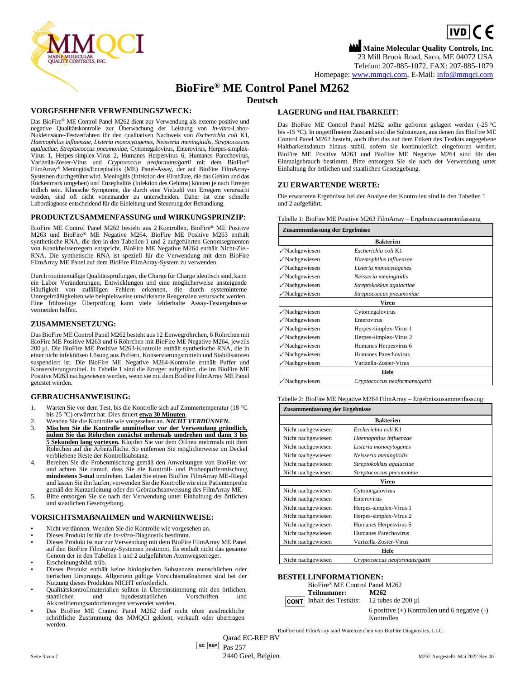$\boxed{\mathsf{ivD}}$  (  $\in$ **Maine Molecular Quality Controls, Inc.**



23 Mill Brook Road, Saco, ME 04072 USA Telefon: 207-885-1072, FAX: 207-885-1079

Homepage[: www.mmqci.com,](file://///FS1/Common/Company/CE%20Marking/M262/Translation/Translation%20Received%2005.12.2022/www.mmqci.com) E-Mail[: info@mmqci.com](mailto:info@mmqci.com)

# **BioFire® ME Control Panel M262**

# **Deutsch**

#### **VORGESEHENER VERWENDUNGSZWECK:**

Das BioFire® ME Control Panel M262 dient zur Verwendung als externe positive und negative Qualitätskontrolle zur Überwachung der Leistung von *In-vitro*-Labor-Nukleinsäure-Testverfahren für den qualitativen Nachweis von *Escherichia coli* K1, *Haemophilus influenzae, Listeria monocytogenes, Neisseria meningitidis, Streptococcus agalactiae, Streptococcus pneumoniae,* Cytomegalovirus, Enterovirus, Herpes-simplex-Virus 1, Herpes-simplex-Virus 2, Humanes Herpesvirus 6, Humanes Parechovirus, Varizella-Zoster-Virus und *Cryptococcus neoformans/gattii* mit dem BioFire® FilmArray® Meningitis/Encephalitis (ME) Panel-Assay, der auf BioFire FilmArray-Systemen durchgeführt wird. Meningitis (Infektion der Hirnhäute, die das Gehirn und das Rückenmark umgeben) und Enzephalitis (Infektion des Gehirns) können je nach Erreger tödlich sein. Klinische Symptome, die durch eine Vielzahl von Erregern verursacht werden, sind oft nicht voneinander zu unterscheiden. Daher ist eine schnelle Labordiagnose entscheidend für die Einleitung und Steuerung der Behandlung.

#### **PRODUKTZUSAMMENFASSUNG und WIRKUNGSPRINZIP:**

BioFire ME Control Panel M262 besteht aus 2 Kontrollen, BioFire® ME Positive M263 und BioFire® ME Negative M264. BioFire ME Positive M263 enthält synthetische RNA, die den in den Tabellen 1 und 2 aufgeführten Genomsegmenten von Krankheitserregern entspricht. BioFire ME Negative M264 enthält Nicht-Ziel-RNA. Die synthetische RNA ist speziell für die Verwendung mit dem BioFire FilmArray ME Panel auf dem BioFire FilmArray-System zu verwenden.

Durch routinemäßige Qualitätsprüfungen, die Charge für Charge identisch sind, kann ein Labor Veränderungen, Entwicklungen und eine möglicherweise ansteigende Häufigkeit von zufälligen Fehlern erkennen, die durch systeminterne Unregelmäßigkeiten wie beispielsweise unwirksame Reagenzien verursacht werden. Eine frühzeitige Überprüfung kann viele fehlerhafte Assay-Testergebnisse vermeiden helfen.

#### **ZUSAMMENSETZUNG:**

Das BioFire ME Control Panel M262 besteht aus 12 Einwegröhrchen, 6 Röhrchen mit BioFire ME Positive M263 und 6 Röhrchen mit BioFire ME Negative M264, jeweils 200 µl. Die BioFire ME Positive M263-Kontrolle enthält synthetische RNA, die in einer nicht infektiösen Lösung aus Puffern, Konservierungsmitteln und Stabilisatoren suspendiert ist. Die BioFire ME Negative M264-Kontrolle enthält Puffer und Konservierungsmittel. In Tabelle 1 sind die Erreger aufgeführt, die im BioFire ME Positive M263 nachgewiesen werden, wenn sie mit dem BioFire FilmArray ME Panel getestet werden.

#### **GEBRAUCHSANWEISUNG:**

- 1. Warten Sie vor dem Test, bis die Kontrolle sich auf Zimmertemperatur (18 °C bis 25 °C) erwärmt hat. Dies dauert **etwa 30 Minuten**.
- 2. Wenden Sie die Kontrolle wie vorgesehen an. *NICHT VERDÜNNEN.*
- 3. **Mischen Sie die Kontrolle unmittelbar vor der Verwendung gründlich, indem Sie das Röhrchen zunächst mehrmals umdrehen und dann 3 bis 5 Sekunden lang vortexen.** Klopfen Sie vor dem Öffnen mehrmals mit dem Röhrchen auf die Arbeitsfläche. So entfernen Sie möglicherweise im Deckel verbliebene Reste der Kontrollsubstanz.
- 4. Bereiten Sie die Probenmischung gemäß den Anweisungen von BioFire vor und achten Sie darauf, dass Sie die Kontroll- und Probenpuffermischung **mindestens 3-mal** umdrehen. Laden Sie einen BioFire FilmArray ME-Riegel und lassen Sie ihn laufen; verwenden Sie die Kontrolle wie eine Patientenprobe
- gemäß der Kurzanleitung oder der Gebrauchsanweisung des FilmArray ME. 5. Bitte entsorgen Sie sie nach der Verwendung unter Einhaltung der örtlichen und staatlichen Gesetzgebung.

#### **VORSICHTSMAẞNAHMEN und WARNHINWEISE:**

- Nicht verdünnen. Wenden Sie die Kontrolle wie vorgesehen an.
- Dieses Produkt ist für die *In-vitro*-Diagnostik bestimmt.
- Dieses Produkt ist nur zur Verwendung mit dem BioFire FilmArray ME Panel auf den BioFire FilmArray-Systemen bestimmt. Es enthält nicht das gesamte Genom der in den Tabellen 1 und 2 aufgeführten Atemwegserreger.
- Erscheinungsbild: trüb.
- Dieses Produkt enthält keine biologischen Substanzen menschlichen oder tierischen Ursprungs. Allgemein gültige Vorsichtsmaßnahmen sind bei der Nutzung dieses Produktes NICHT erforderlich.
- Qualitätskontrollmaterialien sollten in Übereinstimmung mit den örtlichen, staatlichen und bundesstaatlichen Vorschriften und Akkreditierungsanforderungen verwendet werden.
- Das BioFire ME Control Panel M262 darf nicht ohne ausdrückliche schriftliche Zustimmung des MMQCI geklont, verkauft oder übertragen werden.

## **LAGERUNG und HALTBARKEIT**:

Das BioFire ME Control Panel M262 sollte gefroren gelagert werden (-25 °C bis -15 °C). In ungeöffnetem Zustand sind die Substanzen, aus denen das BioFire ME Control Panel M262 besteht, auch über das auf dem Etikett des Testkits angegebene Haltbarkeitsdatum hinaus stabil, sofern sie kontinuierlich eingefroren werden. BioFire ME Positive M263 und BioFire ME Negative M264 sind für den Einmalgebrauch bestimmt. Bitte entsorgen Sie sie nach der Verwendung unter Einhaltung der örtlichen und staatlichen Gesetzgebung.

#### **ZU ERWARTENDE WERTE:**

Die erwarteten Ergebnisse bei der Analyse der Kontrollen sind in den Tabellen 1 und 2 aufgeführt.

Tabelle 1: BioFire ME Positive M263 FilmArray – Ergebniszusammenfassung

| Zusammenfassung der Ergebnisse |                                |  |
|--------------------------------|--------------------------------|--|
|                                | <b>Bakterien</b>               |  |
| $\sqrt{\text{Nachgewiesen}}$   | Escherichia coli K1            |  |
| $\sqrt{}$ Nachgewiesen         | Haemophilus influenzae         |  |
| $\sqrt{\text{Nachgewiesen}}$   | Listeria monocytogenes         |  |
| $\sqrt{\text{Nachgewiesen}}$   | Neisseria meningitidis         |  |
| √Nachgewiesen                  | Streptokokkus agalactiae       |  |
| √Nachgewiesen                  | Streptococcus pneumoniae       |  |
|                                | <b>Viren</b>                   |  |
| $\sqrt{\text{Nachgewiesen}}$   | Cytomegalovirus                |  |
| $\sqrt{}$ Nachgewiesen         | Enterovirus                    |  |
| $\sqrt{}$ Nachgewiesen         | Herpes-simplex-Virus 1         |  |
| √Nachgewiesen                  | Herpes-simplex-Virus 2         |  |
| √Nachgewiesen                  | Humanes Herpesvirus 6          |  |
| √Nachgewiesen                  | Humanes Parechovirus           |  |
| √Nachgewiesen                  | Varizella-Zoster-Virus         |  |
|                                | Hefe                           |  |
| $\sqrt{\text{Nachgewiesen}}$   | Cryptococcus neoformans/gattii |  |

Tabelle 2: BioFire ME Negative M264 FilmArray – Ergebniszusammenfassung

| Zusammenfassung der Ergebnisse |                                |  |
|--------------------------------|--------------------------------|--|
|                                | <b>Bakterien</b>               |  |
| Nicht nachgewiesen             | Escherichia coli K1            |  |
| Nicht nachgewiesen             | Haemophilus influenzae         |  |
| Nicht nachgewiesen             | Listeria monocytogenes         |  |
| Nicht nachgewiesen             | Neisseria meningitidis         |  |
| Nicht nachgewiesen             | Streptokokkus agalactiae       |  |
| Nicht nachgewiesen             | Streptococcus pneumoniae       |  |
|                                | Viren                          |  |
| Nicht nachgewiesen             | Cytomegalovirus                |  |
| Nicht nachgewiesen             | Enterovirus                    |  |
| Nicht nachgewiesen             | Herpes-simplex-Virus 1         |  |
| Nicht nachgewiesen             | Herpes-simplex-Virus 2         |  |
| Nicht nachgewiesen             | Humanes Herpesvirus 6          |  |
| Nicht nachgewiesen             | Humanes Parechovirus           |  |
| Nicht nachgewiesen             | Varizella-Zoster-Virus         |  |
|                                | Hefe                           |  |
| Nicht nachgewiesen             | Cryptococcus neoformans/gattii |  |

#### **BESTELLINFORMATIONEN:**

| BioFire® ME Control Panel M262   |                                                                |
|----------------------------------|----------------------------------------------------------------|
| Teilnummer:                      | M262                                                           |
| <b>CONT</b> Inhalt des Testkits: | 12 tubes de $200 \mu$ 1                                        |
|                                  | 6 positive $(+)$ Kontrollen und 6 negative $(-)$<br>Kontrollen |

BioFire und FilmArray sind Warenzeichen von BioFire Diagnostics, LLC.

Qarad EC-REP BV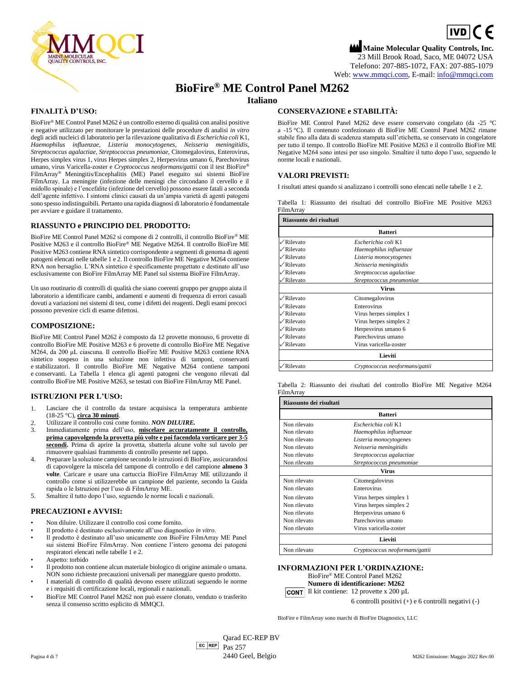

# $\boxed{\mathsf{ivD}}$  (  $\in$ **Maine Molecular Quality Controls, Inc.** 23 Mill Brook Road, Saco, ME 04072 USA Telefono: 207-885-1072, FAX: 207-885-1079 Web[: www.mmqci.com,](file://///FS1/Common/Company/CE%20Marking/M262/Translation/Translation%20Received%2005.12.2022/www.mmqci.com) E-mail[: info@mmqci.com](mailto:info@mmqci.com)

# **BioFire® ME Control Panel M262**

# **Italiano**

## **FINALITÀ D'USO:**

BioFire® ME Control Panel M262 è un controllo esterno di qualità con analisi positive e negative utilizzato per monitorare le prestazioni delle procedure di analisi *in vitro* degli acidi nucleici di laboratorio per la rilevazione qualitativa di *Escherichia coli* K1, *Haemophilus influenzae, Listeria monocytogenes, Neisseria meningitidis, Streptococcus agalactiae, Streptococcus pneumoniae,* Citomegalovirus, Enterovirus, Herpes simplex virus 1, virus Herpes simplex 2, Herpesvirus umano 6, Parechovirus umano, virus Varicella-zoster e *Cryptococcus neoformans/gattii* con il test BioFire® FilmArray® Meningitis/Encephalitis (ME) Panel eseguito sui sistemi BioFire FilmArray. La meningite (infezione delle meningi che circondano il cervello e il midollo spinale) e l'encefalite (infezione del cervello) possono essere fatali a seconda dell'agente infettivo. I sintomi clinici causati da un'ampia varietà di agenti patogeni sono spesso indistinguibili. Pertanto una rapida diagnosi di laboratorio è fondamentale per avviare e guidare il trattamento.

### **RIASSUNTO e PRINCIPIO DEL PRODOTTO:**

BioFire ME Control Panel M262 si compone di 2 controlli, il controllo BioFire® ME Positive M263 e il controllo BioFire® ME Negative M264. Il controllo BioFire ME Positive M263 contiene RNA sintetico corrispondente a segmenti di genoma di agenti patogeni elencati nelle tabelle 1 e 2. Il controllo BioFire ME Negative M264 contiene RNA non bersaglio. L'RNA sintetico è specificamente progettato e destinato all'uso esclusivamente con BioFire FilmArray ME Panel sul sistema BioFire FilmArray.

Un uso routinario di controlli di qualità che siano coerenti gruppo per gruppo aiuta il laboratorio a identificare cambi, andamenti e aumenti di frequenza di errori casuali dovuti a variazioni nei sistemi di test, come i difetti dei reagenti. Degli esami precoci possono prevenire cicli di esame difettosi.

### **COMPOSIZIONE:**

BioFire ME Control Panel M262 è composto da 12 provette monouso, 6 provette di controllo BioFire ME Positive M263 e 6 provette di controllo BioFire ME Negative M264, da 200 μL ciascuna. Il controllo BioFire ME Positive M263 contiene RNA sintetico sospeso in una soluzione non infettiva di tamponi, conservanti e stabilizzatori. Il controllo BioFire ME Negative M264 contiene tamponi e conservanti. La Tabella 1 elenca gli agenti patogeni che vengono rilevati dal controllo BioFire ME Positive M263, se testati con BioFire FilmArray ME Panel.

#### **ISTRUZIONI PER L'USO:**

- 1. Lasciare che il controllo da testare acquisisca la temperatura ambiente (18-25 °C), **circa 30 minuti**.
- 2. Utilizzare il controllo così come fornito. *NON DILUIRE.*
- 3. Immediatamente prima dell'uso, **miscelare accuratamente il controllo, prima capovolgendo la provetta più volte e poi facendola vorticare per 3-5 secondi.** Prima di aprire la provetta, sbatterla alcune volte sul tavolo per rimuovere qualsiasi frammento di controllo presente nel tappo.
- 4. Preparare la soluzione campione secondo le istruzioni di BioFire, assicurandosi di capovolgere la miscela del tampone di controllo e del campione **almeno 3 volte**. Caricare e usare una cartuccia BioFire FilmArray ME utilizzando il controllo come si utilizzerebbe un campione del paziente, secondo la Guida rapida o le Istruzioni per l'uso di FilmArray ME.
- 5. Smaltire il tutto dopo l'uso, seguendo le norme locali e nazionali.

#### **PRECAUZIONI e AVVISI:**

- Non diluire. Utilizzare il controllo così come fornito.
- Il prodotto è destinato esclusivamente all'uso diagnostico *in vitro*.
- Il prodotto è destinato all'uso unicamente con BioFire FilmArray ME Panel sui sistemi BioFire FilmArray. Non contiene l'intero genoma dei patogeni respiratori elencati nelle tabelle 1 e 2.
- Aspetto: torbido
- Il prodotto non contiene alcun materiale biologico di origine animale o umana. NON sono richieste precauzioni universali per maneggiare questo prodotto.
- I materiali di controllo di qualità devono essere utilizzati seguendo le norme e i requisiti di certificazione locali, regionali e nazionali.
- BioFire ME Control Panel M262 non può essere clonato, venduto o trasferito senza il consenso scritto esplicito di MMQCI.

### **CONSERVAZIONE e STABILITÀ:**

BioFire ME Control Panel M262 deve essere conservato congelato (da -25 °C a -15 °C). Il contenuto confezionato di BioFire ME Control Panel M262 rimane stabile fino alla data di scadenza stampata sull'etichetta, se conservato in congelatore per tutto il tempo. Il controllo BioFire ME Positive M263 e il controllo BioFire ME Negative M264 sono intesi per uso singolo. Smaltire il tutto dopo l'uso, seguendo le norme locali e nazionali.

#### **VALORI PREVISTI:**

I risultati attesi quando si analizzano i controlli sono elencati nelle tabelle 1 e 2.

Tabella 1: Riassunto dei risultati del controllo BioFire ME Positive M263 FilmArray

| Riassunto dei risultati  |                                |  |
|--------------------------|--------------------------------|--|
|                          | <b>Batteri</b>                 |  |
| $\sqrt{\text{Rilevato}}$ | Escherichia coli K1            |  |
| $\sqrt{\text{Rilevato}}$ | Haemophilus influenzae         |  |
| $\sqrt{\text{Rilevato}}$ | Listeria monocytogenes         |  |
| $\sqrt{\text{Rilevato}}$ | Neisseria meningitidis         |  |
| √Rilevato                | Streptococcus agalactiae       |  |
| /Rilevato                | Streptococcus pneumoniae       |  |
|                          | Virus                          |  |
| $\sqrt{\text{Rilevato}}$ | Citomegalovirus                |  |
| $\sqrt{\text{Rilevato}}$ | Enterovirus                    |  |
| $\sqrt{\text{Rilevato}}$ | Virus herpes simplex 1         |  |
| $\sqrt{\text{Rilevato}}$ | Virus herpes simplex 2         |  |
| ∕Rilevato                | Herpesvirus umano 6            |  |
| $\sqrt{\text{Rilevato}}$ | Parechovirus umano             |  |
| $\sqrt{\text{Rilevato}}$ | Virus varicella-zoster         |  |
|                          | Lieviti                        |  |
| √Rilevato                | Cryptococcus neoformans/gattii |  |

Tabella 2: Riassunto dei risultati del controllo BioFire ME Negative M264 FilmArray

| Riassunto dei risultati |                                |  |
|-------------------------|--------------------------------|--|
|                         | <b>Batteri</b>                 |  |
| Non rilevato            | Escherichia coli K1            |  |
| Non rilevato            | Haemophilus influenzae         |  |
| Non rilevato            | Listeria monocytogenes         |  |
| Non rilevato            | Neisseria meningitidis         |  |
| Non rilevato            | Streptococcus agalactiae       |  |
| Non rilevato            | Streptococcus pneumoniae       |  |
|                         | <b>Virus</b>                   |  |
| Non rilevato            | Citomegalovirus                |  |
| Non rilevato            | Enterovirus                    |  |
| Non rilevato            | Virus herpes simplex 1         |  |
| Non rilevato            | Virus herpes simplex 2         |  |
| Non rilevato            | Herpesvirus umano 6            |  |
| Non rilevato            | Parechovirus umano             |  |
| Non rilevato            | Virus varicella-zoster         |  |
|                         | Lieviti                        |  |
| Non rilevato            | Cryptococcus neoformans/gattii |  |

#### **INFORMAZIONI PER L'ORDINAZIONE:**

BioFire® ME Control Panel M262 **Numero di identificazione: M262 CONT** Il kit contiene:  $12$  provette x  $200 \mu L$ 

6 controlli positivi (+) e 6 controlli negativi (-)

BioFire e FilmArray sono marchi di BioFire Diagnostics, LLC

EC REP Qarad EC-REP BV Pas 257 Pagina 4 di 7 **2440 Geel, Belgio** Maggio 2022 Rev.00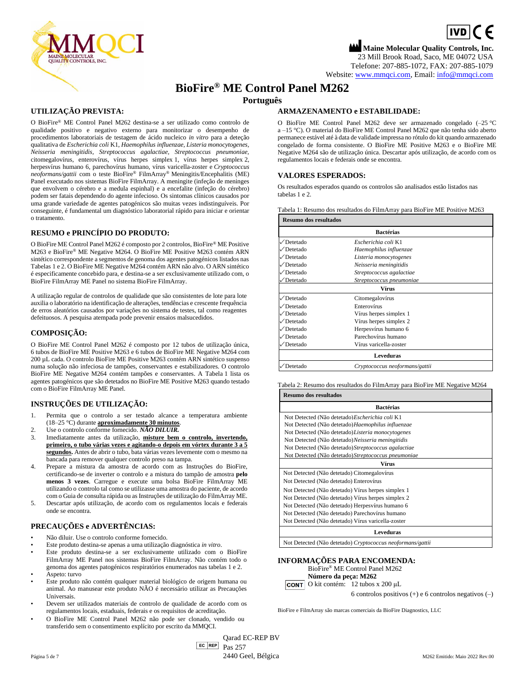

# $\boxed{\mathsf{ivD}}$  (  $\in$ **Maine Molecular Quality Controls, Inc.** 23 Mill Brook Road, Saco, ME 04072 USA Telefone: 207-885-1072, FAX: 207-885-1079

Website[: www.mmqci.com,](file://///FS1/Common/Company/CE%20Marking/M262/Translation/Translation%20Received%2005.12.2022/www.mmqci.com) Email[: info@mmqci.com](mailto:info@mmqci.com)

# **BioFire® ME Control Panel M262**

**Português**

# **UTILIZAÇÃO PREVISTA:**

O BioFire® ME Control Panel M262 destina-se a ser utilizado como controlo de qualidade positivo e negativo externo para monitorizar o desempenho de procedimentos laboratoriais de testagem de ácido nucleico *in vitro* para a deteção qualitativa de *Escherichia coli* K1, *Haemophilus influenzae, Listeria monocytogenes, Neisseria meningitidis, Streptococcus agalactiae, Streptococcus pneumoniae,*  citomegalovírus, enterovírus, vírus herpes simplex 1, vírus herpes simplex 2, herpesvírus humano 6, parechovírus humano, vírus varicella-zoster e *Cryptococcus neoformans/gattii* com o teste BioFire® FilmArray® Meningitis/Encephalitis (ME) Panel executado nos sistemas BioFire FilmArray. A meningite (infeção de meninges que envolvem o cérebro e a medula espinhal) e a encefalite (infeção do cérebro) podem ser fatais dependendo do agente infecioso. Os sintomas clínicos causados por uma grande variedade de agentes patogénicos são muitas vezes indistinguíveis. Por conseguinte, é fundamental um diagnóstico laboratorial rápido para iniciar e orientar o tratamento.

# **RESUMO e PRINCÍPIO DO PRODUTO:**

O BioFire ME Control Panel M262 é composto por 2 controlos, BioFire® ME Positive M263 e BioFire® ME Negative M264. O BioFire ME Positive M263 contém ARN sintético correspondente a segmentos de genoma dos agentes patogénicos listados nas Tabelas 1 e 2. O BioFire ME Negative M264 contém ARN não alvo. O ARN sintético é especificamente concebido para, e destina-se a ser exclusivamente utilizado com, o BioFire FilmArray ME Panel no sistema BioFire FilmArray.

A utilização regular de controlos de qualidade que são consistentes de lote para lote auxilia o laboratório na identificação de alterações, tendências e crescente frequência de erros aleatórios causados por variações no sistema de testes, tal como reagentes defeituosos. A pesquisa atempada pode prevenir ensaios malsucedidos.

# **COMPOSIÇÃO:**

O BioFire ME Control Panel M262 é composto por 12 tubos de utilização única, 6 tubos de BioFire ME Positive M263 e 6 tubos de BioFire ME Negative M264 com 200 µL cada. O controlo BioFire ME Positive M263 contém ARN sintético suspenso numa solução não infeciosa de tampões, conservantes e estabilizadores. O controlo BioFire ME Negative M264 contém tampões e conservantes. A Tabela 1 lista os agentes patogénicos que são detetados no BioFire ME Positive M263 quando testado com o BioFire FilmArray ME Panel.

# **INSTRUÇÕES DE UTILIZAÇÃO:**

- 1. Permita que o controlo a ser testado alcance a temperatura ambiente (18–25 °C) durante **aproximadamente 30 minutos**.
- 2. Use o controlo conforme fornecido. *NÃO DILUIR.*
- 3. Imediatamente antes da utilização, **misture bem o controlo, invertendo, primeiro, o tubo várias vezes e agitando-o depois em vórtex durante 3 a 5 segundos.** Antes de abrir o tubo, bata várias vezes levemente com o mesmo na bancada para remover qualquer controlo preso na tampa.
- 4. Prepare a mistura da amostra de acordo com as Instruções do BioFire, certificando-se de inverter o controlo e a mistura do tampão de amostra **pelo menos 3 vezes**. Carregue e execute uma bolsa BioFire FilmArray ME utilizando o controlo tal como se utilizasse uma amostra do paciente, de acordo com o Guia de consulta rápida ou as Instruções de utilização do FilmArray ME.
- 5. Descartar após utilização, de acordo com os regulamentos locais e federais onde se encontra.

# **PRECAUÇÕES e ADVERTÊNCIAS:**

- Não diluir. Use o controlo conforme fornecido.
- Este produto destina-se apenas a uma utilização diagnóstica *in vitro*.
- Este produto destina-se a ser exclusivamente utilizado com o BioFire FilmArray ME Panel nos sistemas BioFire FilmArray. Não contém todo o genoma dos agentes patogénicos respiratórios enumerados nas tabelas 1 e 2.
- Aspeto: turvo
- Este produto não contém qualquer material biológico de origem humana ou animal. Ao manusear este produto NÃO é necessário utilizar as Precauções Universais.
- Devem ser utilizados materiais de controlo de qualidade de acordo com os regulamentos locais, estaduais, federais e os requisitos de acreditação.
- O BioFire ME Control Panel M262 não pode ser clonado, vendido ou transferido sem o consentimento explícito por escrito da MMQCI.

# **ARMAZENAMENTO e ESTABILIDADE:**

O BioFire ME Control Panel M262 deve ser armazenado congelado (–25 °C a –15 °C). O material do BioFire ME Control Panel M262 que não tenha sido aberto permanece estável até à data de validade impressa no rótulo do kit quando armazenado congelado de forma consistente. O BioFire ME Positive M263 e o BioFire ME Negative M264 são de utilização única. Descartar após utilização, de acordo com os regulamentos locais e federais onde se encontra.

### **VALORES ESPERADOS:**

Os resultados esperados quando os controlos são analisados estão listados nas tabelas 1 e 2.

Tabela 1: Resumo dos resultados do FilmArray para BioFire ME Positive M263

| <b>Resumo dos resultados</b> |                                |  |
|------------------------------|--------------------------------|--|
|                              | <b>Bactérias</b>               |  |
| √Detetado                    | Escherichia coli K1            |  |
| √Detetado                    | Haemophilus influenzae         |  |
| ∕Detetado                    | Listeria monocytogenes         |  |
| ∕Detetado                    | Neisseria meningitidis         |  |
| √Detetado                    | Streptococcus agalactiae       |  |
| Detetado                     | Streptococcus pneumoniae       |  |
|                              | Vírus                          |  |
| √Detetado                    | Citomegalovírus                |  |
| √Detetado                    | Enterovírus                    |  |
| ∕Detetado                    | Vírus herpes simplex 1         |  |
| √Detetado                    | Vírus herpes simplex 2         |  |
| ∕Detetado                    | Herpesvírus humano 6           |  |
| √Detetado                    | Parechovírus humano            |  |
| √Detetado                    | Vírus varicella-zoster         |  |
|                              | <b>Leveduras</b>               |  |
| √Detetado                    | Cryptococcus neoformans/gattii |  |

Tabela 2: Resumo dos resultados do FilmArray para BioFire ME Negative M264 **Resumo dos resultados**

| лсэишо аоэ гезинааоэ                                 |
|------------------------------------------------------|
| <b>Bactérias</b>                                     |
| Not Detected (Não detetado) Escherichia coli K1      |
| Not Detected (Não detetado) Haemophilus influenzae   |
| Not Detected (Não detetado) Listeria monocytogenes   |
| Not Detected (Não detetado) Neisseria meningitidis   |
| Not Detected (Não detetado) Streptococcus agalactiae |
| Not Detected (Não detetado) Streptococcus pneumoniae |
| Vírus                                                |
| Not Detected (Não detetado) Citomegalovírus          |
| Not Detected (Não detetado) Enterovírus              |
| Not Detected (Não detetado) Vírus herpes simplex 1   |
| Not Detected (Não detetado) Vírus herpes simplex 2   |
| Not Detected (Não detetado) Herpesvírus humano 6     |
| Not Detected (Não detetado) Parechovírus humano      |
| Not Detected (Não detetado) Vírus varicella-zoster   |
| Leveduras                                            |
|                                                      |

Not Detected (Não detetado) *Cryptococcus neoformans/gattii*

#### **INFORMAÇÕES PARA ENCOMENDA:**





6 controlos positivos (+) e 6 controlos negativos (–)

BioFire e FilmArray são marcas comerciais da BioFire Diagnostics, LLC

EC REP Qarad EC-REP BV Pas 257 Página 5 de 7 2440 Geel, Bélgica M262 Emitido: Maio 2022 Rev.00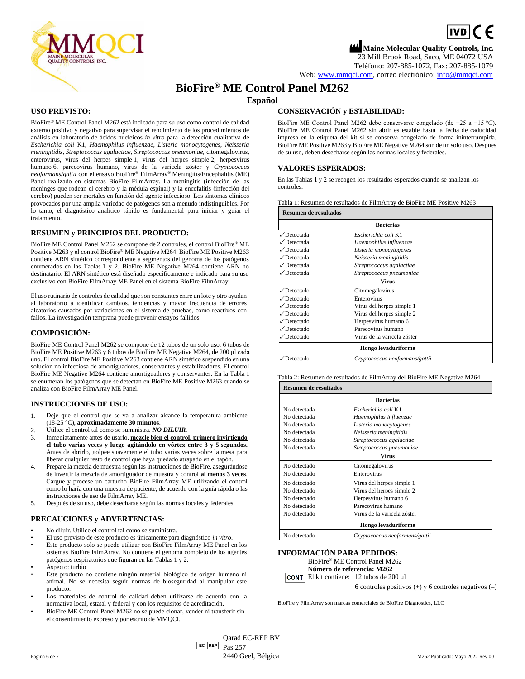

 $\boxed{\mathsf{ivD}}$  (  $\in$ 

**Maine Molecular Quality Controls, Inc.** 23 Mill Brook Road, Saco, ME 04072 USA Teléfono: 207-885-1072, Fax: 207-885-1079 Web[: www.mmqci.com,](file://///FS1/Common/Company/CE%20Marking/M262/Translation/Translation%20Received%2005.12.2022/www.mmqci.com) correo electrónico[: info@mmqci.com](mailto:info@mmqci.com)

# **BioFire® ME Control Panel M262**

# **Español**

#### **USO PREVISTO:**

BioFire® ME Control Panel M262 está indicado para su uso como control de calidad externo positivo y negativo para supervisar el rendimiento de los procedimientos de análisis en laboratorio de ácidos nucleicos *in vitro* para la detección cualitativa de *Escherichia coli* K1, *Haemophilus influenzae, Listeria monocytogenes, Neisseria meningitidis, Streptococcus agalactiae, Streptococcus pneumoniae,* citomegalovirus, enterovirus, virus del herpes simple 1, virus del herpes simple 2, herpesvirus humano 6, parecovirus humano, virus de la varicela zóster y *Cryptococcus neoformans/gattii* con el ensayo BioFire® FilmArray® Meningitis/Encephalitis (ME) Panel realizado en sistemas BioFire FilmArray. La meningitis (infección de las meninges que rodean el cerebro y la médula espinal) y la encefalitis (infección del cerebro) pueden ser mortales en función del agente infeccioso. Los síntomas clínicos provocados por una amplia variedad de patógenos son a menudo indistinguibles. Por lo tanto, el diagnóstico analítico rápido es fundamental para iniciar y guiar el tratamiento.

#### **RESUMEN y PRINCIPIOS DEL PRODUCTO:**

BioFire ME Control Panel M262 se compone de 2 controles, el control BioFire® ME Positive M263 y el control BioFire® ME Negative M264. BioFire ME Positive M263 contiene ARN sintético correspondiente a segmentos del genoma de los patógenos enumerados en las Tablas 1 y 2. BioFire ME Negative M264 contiene ARN no destinatario. El ARN sintético está diseñado específicamente e indicado para su uso exclusivo con BioFire FilmArray ME Panel en el sistema BioFire FilmArray.

El uso rutinario de controles de calidad que son constantes entre un lote y otro ayudan al laboratorio a identificar cambios, tendencias y mayor frecuencia de errores aleatorios causados por variaciones en el sistema de pruebas, como reactivos con fallos. La investigación temprana puede prevenir ensayos fallidos.

### **COMPOSICIÓN:**

BioFire ME Control Panel M262 se compone de 12 tubos de un solo uso, 6 tubos de BioFire ME Positive M263 y 6 tubos de BioFire ME Negative M264, de 200 μl cada uno. El control BioFire ME Positive M263 contiene ARN sintético suspendido en una solución no infecciosa de amortiguadores, conservantes y estabilizadores. El control BioFire ME Negative M264 contiene amortiguadores y conservantes. En la Tabla 1 se enumeran los patógenos que se detectan en BioFire ME Positive M263 cuando se analiza con BioFire FilmArray ME Panel.

# **INSTRUCCIONES DE USO:**

- 1. Deje que el control que se va a analizar alcance la temperatura ambiente (18-25 °C), **aproximadamente 30 minutos**.
- 2. Utilice el control tal como se suministra. *NO DILUIR.*
- 3. Inmediatamente antes de usarlo, **mezcle bien el control, primero invirtiendo el tubo varias veces y luego agitándolo en vórtex entre 3 y 5 segundos.**  Antes de abrirlo, golpee suavemente el tubo varias veces sobre la mesa para liberar cualquier resto de control que haya quedado atrapado en el tapón.
- 4. Prepare la mezcla de muestra según las instrucciones de BioFire, asegurándose de invertir la mezcla de amortiguador de muestra y control **al menos 3 veces**. Cargue y procese un cartucho BioFire FilmArray ME utilizando el control como lo haría con una muestra de paciente, de acuerdo con la guía rápida o las instrucciones de uso de FilmArray ME.
- 5. Después de su uso, debe desecharse según las normas locales y federales.

# **PRECAUCIONES y ADVERTENCIAS:**

- No diluir. Utilice el control tal como se suministra.
- El uso previsto de este producto es únicamente para diagnóstico *in vitro*.
- Este producto solo se puede utilizar con BioFire FilmArray ME Panel en los sistemas BioFire FilmArray. No contiene el genoma completo de los agentes patógenos respiratorios que figuran en las Tablas 1 y 2.
- Aspecto: turbio
- Este producto no contiene ningún material biológico de origen humano ni animal. No se necesita seguir normas de bioseguridad al manipular este producto.
- Los materiales de control de calidad deben utilizarse de acuerdo con la normativa local, estatal y federal y con los requisitos de acreditación.
- BioFire ME Control Panel M262 no se puede clonar, vender ni transferir sin el consentimiento expreso y por escrito de MMQCI.

# **CONSERVACIÓN y ESTABILIDAD:**

BioFire ME Control Panel M262 debe conservarse congelado (de −25 a −15 °C). BioFire ME Control Panel M262 sin abrir es estable hasta la fecha de caducidad impresa en la etiqueta del kit si se conserva congelado de forma ininterrumpida. BioFire ME Positive M263 y BioFire ME Negative M264 son de un solo uso. Después de su uso, deben desecharse según las normas locales y federales.

#### **VALORES ESPERADOS:**

En las Tablas 1 y 2 se recogen los resultados esperados cuando se analizan los controles.

Tabla 1: Resumen de resultados de FilmArray de BioFire ME Positive M263

| <b>Resumen de resultados</b><br><b>Bacterias</b> |                                |  |
|--------------------------------------------------|--------------------------------|--|
|                                                  |                                |  |
| Detectada                                        | Haemophilus influenzae         |  |
| √Detectada                                       | Listeria monocytogenes         |  |
| √Detectada                                       | Neisseria meningitidis         |  |
| √Detectada                                       | Streptococcus agalactiae       |  |
| Detectada                                        | Streptococcus pneumoniae       |  |
|                                                  | Virus                          |  |
| √Detectado                                       | Citomegalovirus                |  |
| √Detectado                                       | Enterovirus                    |  |
| √Detectado                                       | Virus del herpes simple 1      |  |
| √Detectado                                       | Virus del herpes simple 2      |  |
| √Detectado                                       | Herpesvirus humano 6           |  |
| √Detectado                                       | Parecovirus humano             |  |
| √Detectado                                       | Virus de la varicela zóster    |  |
|                                                  | Hongo levaduriforme            |  |
| Detectado                                        | Cryptococcus neoformans/gattii |  |

Tabla 2: Resumen de resultados de FilmArray del BioFire ME Negative M264

| <b>Resumen de resultados</b><br><b>Bacterias</b> |                                |  |
|--------------------------------------------------|--------------------------------|--|
|                                                  |                                |  |
| No detectada                                     | Haemophilus influenzae         |  |
| No detectada                                     | Listeria monocytogenes         |  |
| No detectada                                     | Neisseria meningitidis         |  |
| No detectada                                     | Streptococcus agalactiae       |  |
| No detectada                                     | Streptococcus pneumoniae       |  |
|                                                  | Virus                          |  |
| No detectado                                     | Citomegalovirus                |  |
| No detectado                                     | Enterovirus                    |  |
| No detectado                                     | Virus del herpes simple 1      |  |
| No detectado                                     | Virus del herpes simple 2      |  |
| No detectado                                     | Herpesvirus humano 6           |  |
| No detectado                                     | Parecovirus humano             |  |
| No detectado                                     | Virus de la varicela zóster    |  |
|                                                  | Hongo levaduriforme            |  |
| No detectado                                     | Cryptococcus neoformans/gattii |  |

#### **INFORMACIÓN PARA PEDIDOS:**

BioFire® ME Control Panel M262

**Número de referencia: M262**

El kit contiene: 12 tubos de 200 μl

6 controles positivos (+) y 6 controles negativos (–)

BioFire y FilmArray son marcas comerciales de BioFire Diagnostics, LLC

EC REP Qarad EC-REP BV Pas 257 Página 6 de 7 *M262* Publicado: Mayo 2022 Rev.00